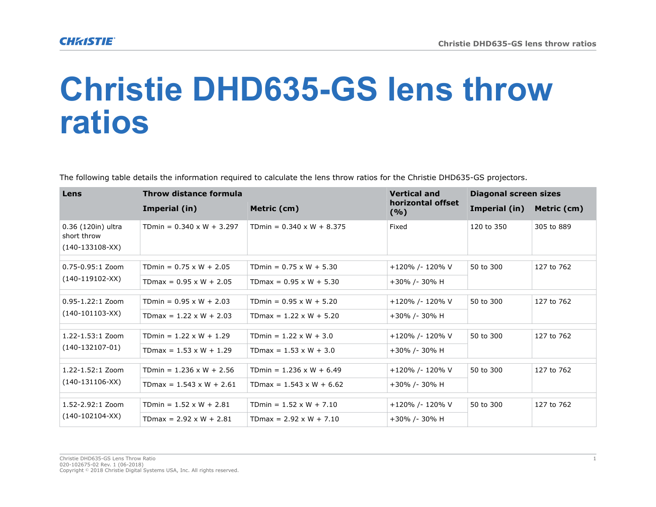## **Christie DHD635-GS lens throw ratios**

The following table details the information required to calculate the lens throw ratios for the Christie DHD635-GS projectors.

| Lens                                                   | Throw distance formula           |                                  | <b>Vertical and</b>      | <b>Diagonal screen sizes</b> |             |
|--------------------------------------------------------|----------------------------------|----------------------------------|--------------------------|------------------------------|-------------|
|                                                        | Imperial (in)                    | Metric (cm)                      | horizontal offset<br>(%) | Imperial (in)                | Metric (cm) |
| 0.36 (120in) ultra<br>short throw<br>$(140-133108-XX)$ | TDmin = $0.340 \times W + 3.297$ | TDmin = $0.340 \times W + 8.375$ | Fixed                    | 120 to 350                   | 305 to 889  |
| 0.75-0.95:1 Zoom<br>$(140-119102-XX)$                  | TDmin = $0.75 \times W + 2.05$   | TDmin = $0.75 \times W + 5.30$   | +120% /- 120% V          | 50 to 300                    | 127 to 762  |
|                                                        | TDmax = $0.95 \times W + 2.05$   | TDmax = $0.95 \times W + 5.30$   | +30% /- 30% H            |                              |             |
| $0.95 - 1.22:1$ Zoom<br>$(140-101103-XX)$              | TDmin = $0.95 \times W + 2.03$   | TDmin = $0.95 \times W + 5.20$   | +120% /- 120% V          | 50 to 300                    | 127 to 762  |
|                                                        | TDmax = $1.22 \times W + 2.03$   | TDmax = $1.22 \times W + 5.20$   | +30% /- 30% H            |                              |             |
| $1.22 - 1.53:1$ Zoom<br>$(140-132107-01)$              | TDmin = $1.22 \times W + 1.29$   | TDmin = $1.22 \times W + 3.0$    | +120% /- 120% V          | 50 to 300                    | 127 to 762  |
|                                                        | TDmax = $1.53 \times W + 1.29$   | TDmax = $1.53 \times W + 3.0$    | +30% /- 30% H            |                              |             |
| $1.22 - 1.52:1$ Zoom<br>$(140-131106-XX)$              | TDmin = $1.236 \times W + 2.56$  | TDmin = $1.236 \times W + 6.49$  | +120% /- 120% V          | 50 to 300                    | 127 to 762  |
|                                                        | TDmax = $1.543 \times W + 2.61$  | TDmax = $1.543 \times W + 6.62$  | +30% /- 30% H            |                              |             |
| $1.52 - 2.92:1$ Zoom<br>$(140-102104-XX)$              | TDmin = $1.52 \times W + 2.81$   | TDmin = $1.52 \times W + 7.10$   | +120% /- 120% V          | 50 to 300                    | 127 to 762  |
|                                                        | TDmax = $2.92 \times W + 2.81$   | TDmax = $2.92 \times W + 7.10$   | +30% /- 30% H            |                              |             |